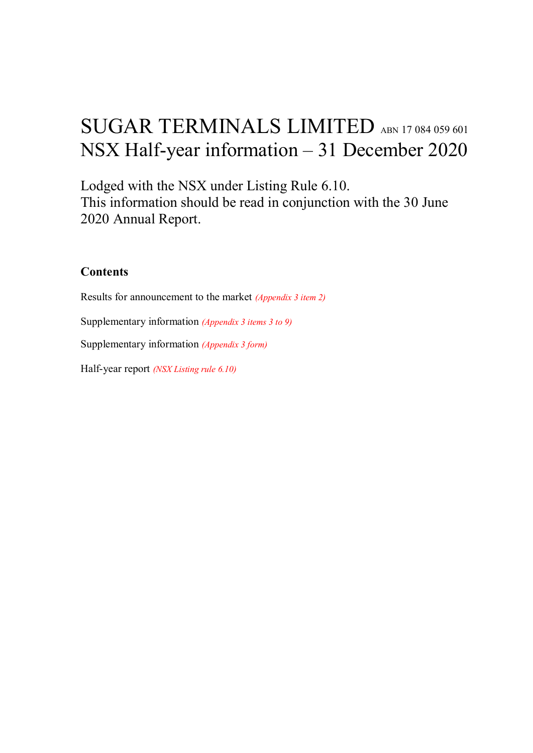# SUGAR TERMINALS LIMITED ABN 17 084 059 601 NSX Half-year information – 31 December 2020

Lodged with the NSX under Listing Rule 6.10. This information should be read in conjunction with the 30 June 2020 Annual Report.

## **Contents**

Results for announcement to the market *(Appendix 3 item 2)* Supplementary information *(Appendix 3 items 3 to 9)* Supplementary information *(Appendix 3 form)* Half-year report *(NSX Listing rule 6.10)*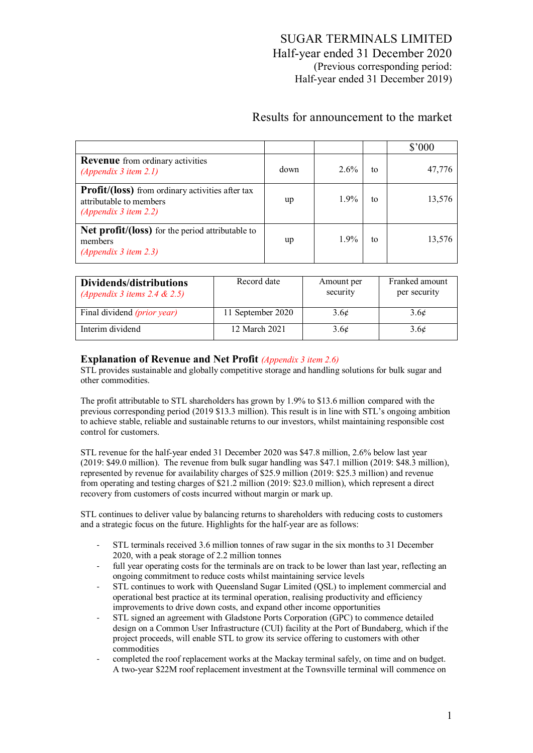# SUGAR TERMINALS LIMITED Half-year ended 31 December 2020 (Previous corresponding period: Half-year ended 31 December 2019)

# Results for announcement to the market

|                                                                                                                |      |         |    | $$^{\prime}000$ |
|----------------------------------------------------------------------------------------------------------------|------|---------|----|-----------------|
| <b>Revenue</b> from ordinary activities<br>(Appendix 3 item $2.1$ )                                            | down | $2.6\%$ | to | 47,776          |
| <b>Profit/(loss)</b> from ordinary activities after tax<br>attributable to members<br>(Appendix 3 item $2.2$ ) | up   | $1.9\%$ | to | 13,576          |
| <b>Net profit/(loss)</b> for the period attributable to<br>members<br>$(Appendix 3$ item 2.3)                  | up   | $1.9\%$ | to | 13,576          |

| Dividends/distributions<br>(Appendix 3 items 2.4 $\&$ 2.5) | Record date       | Amount per<br>security | Franked amount<br>per security |
|------------------------------------------------------------|-------------------|------------------------|--------------------------------|
| Final dividend <i>(prior year)</i>                         | 11 September 2020 | $3.6\ell$              | 3.6 <sub>c</sub>               |
| Interim dividend                                           | 12 March 2021     | $3.6\ell$              | 3.6 <sub>c</sub>               |

#### **Explanation of Revenue and Net Profit** *(Appendix 3 item 2.6)*

STL provides sustainable and globally competitive storage and handling solutions for bulk sugar and other commodities.

The profit attributable to STL shareholders has grown by 1.9% to \$13.6 million compared with the previous corresponding period (2019 \$13.3 million). This result is in line with STL's ongoing ambition to achieve stable, reliable and sustainable returns to our investors, whilst maintaining responsible cost control for customers.

STL revenue for the half-year ended 31 December 2020 was \$47.8 million, 2.6% below last year (2019: \$49.0 million). The revenue from bulk sugar handling was \$47.1 million (2019: \$48.3 million), represented by revenue for availability charges of \$25.9 million (2019: \$25.3 million) and revenue from operating and testing charges of \$21.2 million (2019: \$23.0 million), which represent a direct recovery from customers of costs incurred without margin or mark up.

STL continues to deliver value by balancing returns to shareholders with reducing costs to customers and a strategic focus on the future. Highlights for the half-year are as follows:

- ‐ STL terminals received 3.6 million tonnes of raw sugar in the six months to 31 December 2020, with a peak storage of 2.2 million tonnes
- ‐ full year operating costs for the terminals are on track to be lower than last year, reflecting an ongoing commitment to reduce costs whilst maintaining service levels
- ‐ STL continues to work with Queensland Sugar Limited (QSL) to implement commercial and operational best practice at its terminal operation, realising productivity and efficiency improvements to drive down costs, and expand other income opportunities
- ‐ STL signed an agreement with Gladstone Ports Corporation (GPC) to commence detailed design on a Common User Infrastructure (CUI) facility at the Port of Bundaberg, which if the project proceeds, will enable STL to grow its service offering to customers with other commodities
- ‐ completed the roof replacement works at the Mackay terminal safely, on time and on budget. A two-year \$22M roof replacement investment at the Townsville terminal will commence on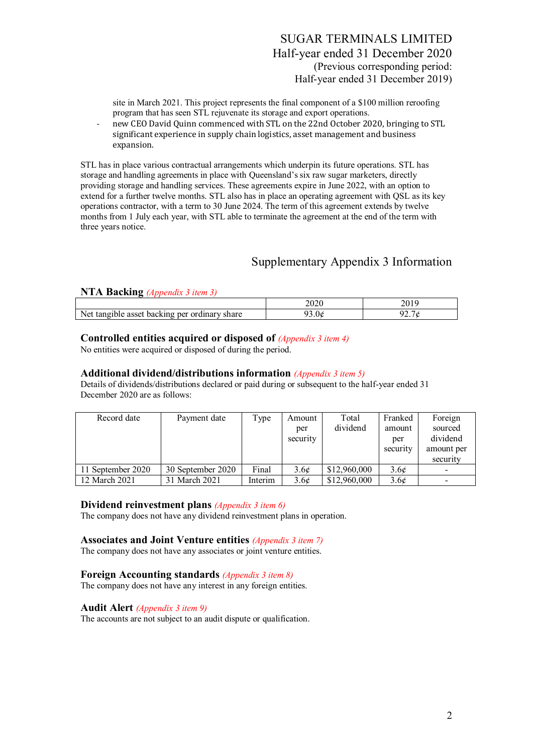site in March 2021. This project represents the final component of a \$100 million reroofing program that has seen STL rejuvenate its storage and export operations.

‐ new CEO David Quinn commenced with STL on the 22nd October 2020, bringing to STL significant experience in supply chain logistics, asset management and business expansion.

STL has in place various contractual arrangements which underpin its future operations. STL has storage and handling agreements in place with Queensland's six raw sugar marketers, directly providing storage and handling services. These agreements expire in June 2022, with an option to extend for a further twelve months. STL also has in place an operating agreement with QSL as its key operations contractor, with a term to 30 June 2024. The term of this agreement extends by twelve months from 1 July each year, with STL able to terminate the agreement at the end of the term with three years notice.

# Supplementary Appendix 3 Information

#### **NTA Backing** *(Appendix 3 item 3)*

|                                                                       | $\sim$ $\sim$ $\sim$<br>∠∪∠u |                   |
|-----------------------------------------------------------------------|------------------------------|-------------------|
| Net<br>`ordına.<br>per<br>11122221<br>asset<br>share<br>backing<br>me | /3.0¢                        | __<br>Ø<br>$\sim$ |

#### **Controlled entities acquired or disposed of** *(Appendix 3 item 4)*

No entities were acquired or disposed of during the period.

#### **Additional dividend/distributions information** *(Appendix 3 item 5)*

Details of dividends/distributions declared or paid during or subsequent to the half-year ended 31 December 2020 are as follows:

| Record date       | Payment date      | Type    | Amount           | Total        | Franked          | Foreign    |
|-------------------|-------------------|---------|------------------|--------------|------------------|------------|
|                   |                   |         | per              | dividend     | amount           | sourced    |
|                   |                   |         | security         |              | per              | dividend   |
|                   |                   |         |                  |              | security         | amount per |
|                   |                   |         |                  |              |                  | security   |
| 11 September 2020 | 30 September 2020 | Final   | 3.6¢             | \$12,960,000 | 3.6 <sub>c</sub> |            |
| 12 March 2021     | 31 March 2021     | Interim | 3.6 <sub>c</sub> | \$12,960,000 | 3.6 <sub>c</sub> | -          |

#### **Dividend reinvestment plans** *(Appendix 3 item 6)*

The company does not have any dividend reinvestment plans in operation.

#### **Associates and Joint Venture entities** *(Appendix 3 item 7)*

The company does not have any associates or joint venture entities.

#### **Foreign Accounting standards** *(Appendix 3 item 8)*

The company does not have any interest in any foreign entities.

#### **Audit Alert** *(Appendix 3 item 9)*

The accounts are not subject to an audit dispute or qualification.